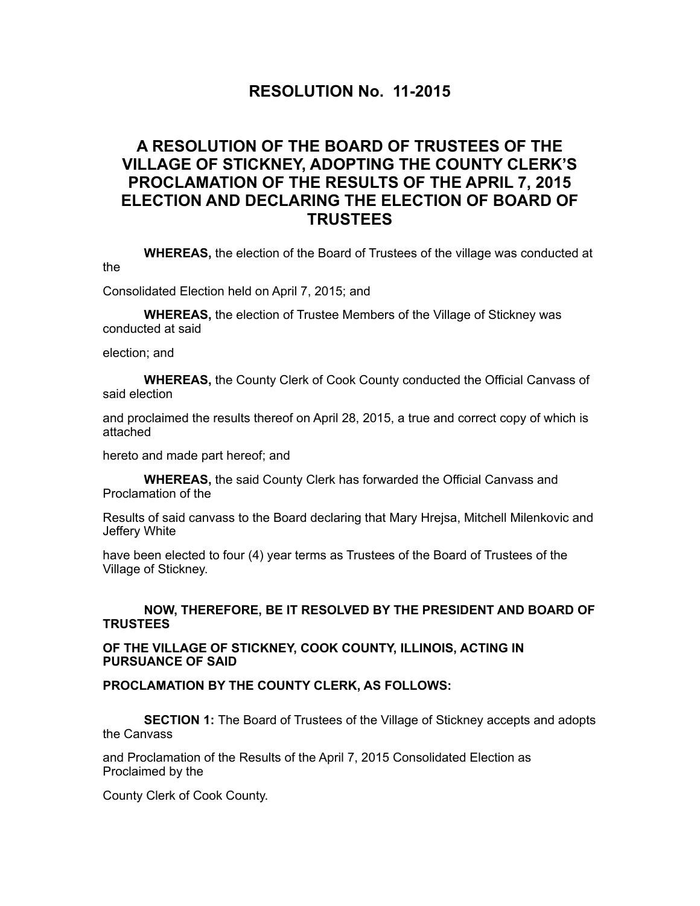## **RESOLUTION No. 11-2015**

## **A RESOLUTION OF THE BOARD OF TRUSTEES OF THE VILLAGE OF STICKNEY, ADOPTING THE COUNTY CLERK'S PROCLAMATION OF THE RESULTS OF THE APRIL 7, 2015 ELECTION AND DECLARING THE ELECTION OF BOARD OF TRUSTEES**

 **WHEREAS,** the election of the Board of Trustees of the village was conducted at the

Consolidated Election held on April 7, 2015; and

**WHEREAS,** the election of Trustee Members of the Village of Stickney was conducted at said

election; and

**WHEREAS,** the County Clerk of Cook County conducted the Official Canvass of said election

and proclaimed the results thereof on April 28, 2015, a true and correct copy of which is attached

hereto and made part hereof; and

**WHEREAS,** the said County Clerk has forwarded the Official Canvass and Proclamation of the

Results of said canvass to the Board declaring that Mary Hrejsa, Mitchell Milenkovic and Jeffery White

have been elected to four (4) year terms as Trustees of the Board of Trustees of the Village of Stickney.

## **NOW, THEREFORE, BE IT RESOLVED BY THE PRESIDENT AND BOARD OF TRUSTEES**

**OF THE VILLAGE OF STICKNEY, COOK COUNTY, ILLINOIS, ACTING IN PURSUANCE OF SAID** 

## **PROCLAMATION BY THE COUNTY CLERK, AS FOLLOWS:**

**SECTION 1:** The Board of Trustees of the Village of Stickney accepts and adopts the Canvass

and Proclamation of the Results of the April 7, 2015 Consolidated Election as Proclaimed by the

County Clerk of Cook County.